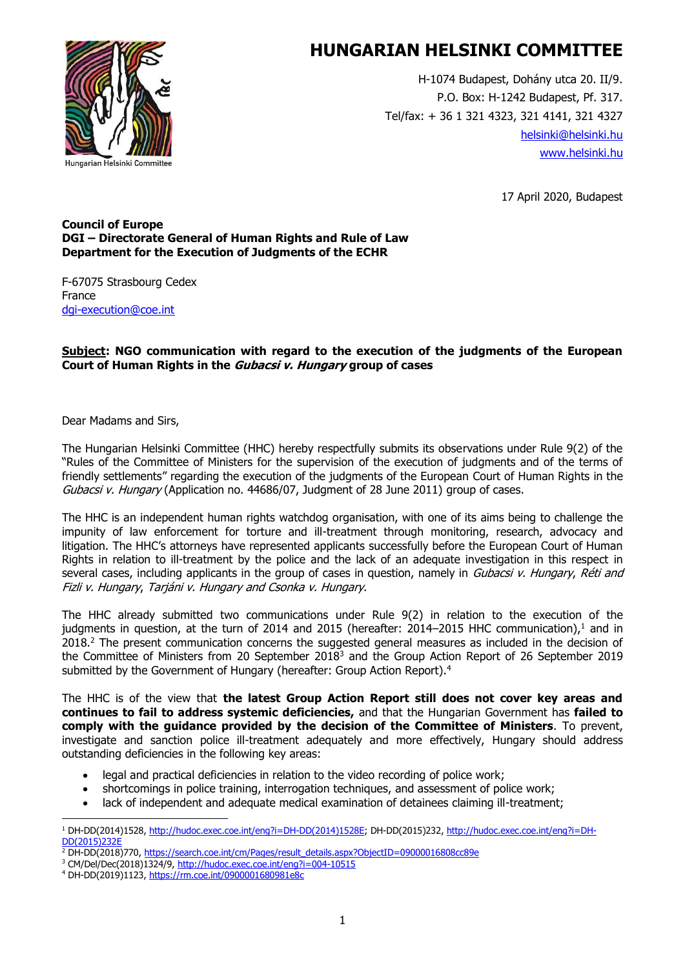

H-1074 Budapest, Dohány utca 20. II/9. P.O. Box: H-1242 Budapest, Pf. 317. Tel/fax: + 36 1 321 4323, 321 4141, 321 4327 [helsinki@helsinki.hu](mailto:helsinki@helsinki.hu) [www.helsinki.hu](http://www.helsinki.hu/)

17 April 2020, Budapest

#### **Council of Europe DGI – Directorate General of Human Rights and Rule of Law Department for the Execution of Judgments of the ECHR**

F-67075 Strasbourg Cedex France [dgi-execution@coe.int](mailto:dgi-execution@coe.int)

#### **Subject: NGO communication with regard to the execution of the judgments of the European Court of Human Rights in the Gubacsi v. Hungary group of cases**

Dear Madams and Sirs,

The Hungarian Helsinki Committee (HHC) hereby respectfully submits its observations under Rule 9(2) of the "Rules of the Committee of Ministers for the supervision of the execution of judgments and of the terms of friendly settlements" regarding the execution of the judgments of the European Court of Human Rights in the Gubacsi v. Hungary (Application no. 44686/07, Judgment of 28 June 2011) group of cases.

The HHC is an independent human rights watchdog organisation, with one of its aims being to challenge the impunity of law enforcement for torture and ill-treatment through monitoring, research, advocacy and litigation. The HHC's attorneys have represented applicants successfully before the European Court of Human Rights in relation to ill-treatment by the police and the lack of an adequate investigation in this respect in several cases, including applicants in the group of cases in question, namely in *Gubacsi v. Hungary, Réti and* Fizli v. Hungary, Tarjáni v. Hungary and Csonka v. Hungary.

The HHC already submitted two communications under Rule 9(2) in relation to the execution of the judgments in question, at the turn of 2014 and 2015 (hereafter: 2014–2015 HHC communication),<sup>1</sup> and in 2018.<sup>2</sup> The present communication concerns the suggested general measures as included in the decision of the Committee of Ministers from 20 September 2018<sup>3</sup> and the Group Action Report of 26 September 2019 submitted by the Government of Hungary (hereafter: Group Action Report).<sup>4</sup>

The HHC is of the view that **the latest Group Action Report still does not cover key areas and continues to fail to address systemic deficiencies,** and that the Hungarian Government has **failed to comply with the guidance provided by the decision of the Committee of Ministers**. To prevent, investigate and sanction police ill-treatment adequately and more effectively, Hungary should address outstanding deficiencies in the following key areas:

- legal and practical deficiencies in relation to the video recording of police work;
- shortcomings in police training, interrogation techniques, and assessment of police work;
- lack of independent and adequate medical examination of detainees claiming ill-treatment;

<sup>1</sup> DH-DD(2014)1528, [http://hudoc.exec.coe.int/eng?i=DH-DD\(2014\)1528E;](http://hudoc.exec.coe.int/eng?i=DH-DD(2014)1528E) DH-DD(2015)232, [http://hudoc.exec.coe.int/eng?i=DH-](http://hudoc.exec.coe.int/eng?i=DH-DD(2015)232E) $DD(2015)$ 

<sup>2</sup> DH-DD(2018)770[, https://search.coe.int/cm/Pages/result\\_details.aspx?ObjectID=09000016808cc89e](https://search.coe.int/cm/Pages/result_details.aspx?ObjectID=09000016808cc89e)

<sup>&</sup>lt;sup>3</sup> CM/Del/Dec(2018)1324/9,<http://hudoc.exec.coe.int/eng?i=004-10515>

<sup>4</sup> DH-DD(2019)1123[, https://rm.coe.int/0900001680981e8c](https://rm.coe.int/0900001680981e8c)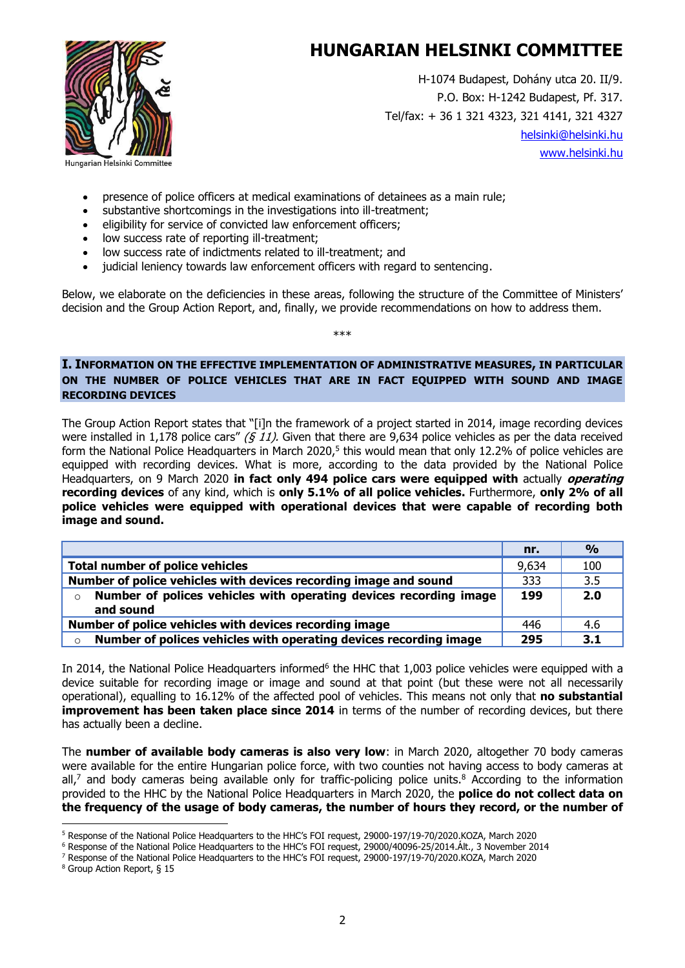

H-1074 Budapest, Dohány utca 20. II/9. P.O. Box: H-1242 Budapest, Pf. 317. Tel/fax: + 36 1 321 4323, 321 4141, 321 4327 [helsinki@helsinki.hu](mailto:helsinki@helsinki.hu) [www.helsinki.hu](http://www.helsinki.hu/)

- presence of police officers at medical examinations of detainees as a main rule;
- substantive shortcomings in the investigations into ill-treatment;
- eligibility for service of convicted law enforcement officers;
- low success rate of reporting ill-treatment:
- low success rate of indictments related to ill-treatment; and
- judicial leniency towards law enforcement officers with regard to sentencing.

Below, we elaborate on the deficiencies in these areas, following the structure of the Committee of Ministers' decision and the Group Action Report, and, finally, we provide recommendations on how to address them.

\*\*\*

**I. INFORMATION ON THE EFFECTIVE IMPLEMENTATION OF ADMINISTRATIVE MEASURES, IN PARTICULAR ON THE NUMBER OF POLICE VEHICLES THAT ARE IN FACT EQUIPPED WITH SOUND AND IMAGE RECORDING DEVICES**

The Group Action Report states that "[i]n the framework of a project started in 2014, image recording devices were installed in 1,178 police cars" (§ 11). Given that there are 9,634 police vehicles as per the data received form the National Police Headquarters in March 2020,<sup>5</sup> this would mean that only 12.2% of police vehicles are equipped with recording devices. What is more, according to the data provided by the National Police Headquarters, on 9 March 2020 **in fact only 494 police cars were equipped with** actually **operating recording devices** of any kind, which is **only 5.1% of all police vehicles.** Furthermore, **only 2% of all police vehicles were equipped with operational devices that were capable of recording both image and sound.**

|                                                                              | nr.   | $\frac{0}{0}$ |
|------------------------------------------------------------------------------|-------|---------------|
| <b>Total number of police vehicles</b>                                       | 9,634 | 100           |
| Number of police vehicles with devices recording image and sound             | 333   | 3.5           |
| Number of polices vehicles with operating devices recording image<br>$\circ$ | 199   | 2.0           |
| and sound                                                                    |       |               |
| Number of police vehicles with devices recording image                       | 446   | 4.6           |
| Number of polices vehicles with operating devices recording image<br>$\circ$ | 295   | 3.1           |

In 2014, the National Police Headquarters informed<sup>6</sup> the HHC that 1,003 police vehicles were equipped with a device suitable for recording image or image and sound at that point (but these were not all necessarily operational), equalling to 16.12% of the affected pool of vehicles. This means not only that **no substantial improvement has been taken place since 2014** in terms of the number of recording devices, but there has actually been a decline.

The **number of available body cameras is also very low**: in March 2020, altogether 70 body cameras were available for the entire Hungarian police force, with two counties not having access to body cameras at all,<sup>7</sup> and body cameras being available only for traffic-policing police units.<sup>8</sup> According to the information provided to the HHC by the National Police Headquarters in March 2020, the **police do not collect data on the frequency of the usage of body cameras, the number of hours they record, or the number of** 

<sup>5</sup> Response of the National Police Headquarters to the HHC's FOI request, 29000-197/19-70/2020.KOZA, March 2020

<sup>6</sup> Response of the National Police Headquarters to the HHC's FOI request, 29000/40096-25/2014.Ált., 3 November 2014

<sup>7</sup> Response of the National Police Headquarters to the HHC's FOI request, 29000-197/19-70/2020.KOZA, March 2020

<sup>8</sup> Group Action Report, § 15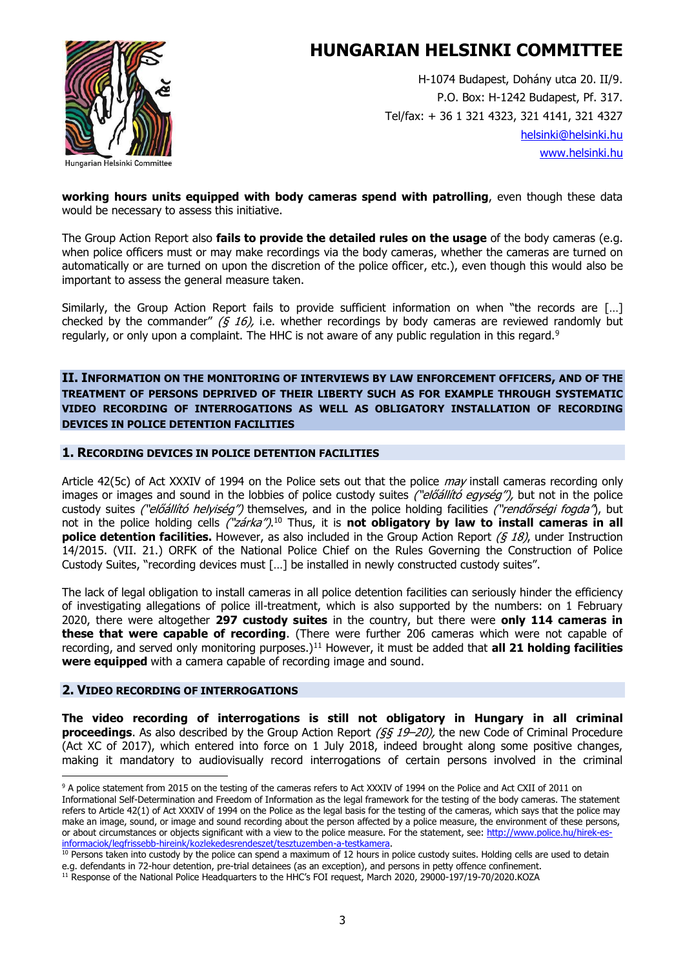

H-1074 Budapest, Dohány utca 20. II/9. P.O. Box: H-1242 Budapest, Pf. 317. Tel/fax: + 36 1 321 4323, 321 4141, 321 4327 [helsinki@helsinki.hu](mailto:helsinki@helsinki.hu) [www.helsinki.hu](http://www.helsinki.hu/)

**working hours units equipped with body cameras spend with patrolling**, even though these data would be necessary to assess this initiative.

The Group Action Report also **fails to provide the detailed rules on the usage** of the body cameras (e.g. when police officers must or may make recordings via the body cameras, whether the cameras are turned on automatically or are turned on upon the discretion of the police officer, etc.), even though this would also be important to assess the general measure taken.

Similarly, the Group Action Report fails to provide sufficient information on when "the records are […] checked by the commander"  $(6\,16)$ , i.e. whether recordings by body cameras are reviewed randomly but regularly, or only upon a complaint. The HHC is not aware of any public regulation in this regard.<sup>9</sup>

**II. INFORMATION ON THE MONITORING OF INTERVIEWS BY LAW ENFORCEMENT OFFICERS, AND OF THE TREATMENT OF PERSONS DEPRIVED OF THEIR LIBERTY SUCH AS FOR EXAMPLE THROUGH SYSTEMATIC VIDEO RECORDING OF INTERROGATIONS AS WELL AS OBLIGATORY INSTALLATION OF RECORDING DEVICES IN POLICE DETENTION FACILITIES**

#### **1. RECORDING DEVICES IN POLICE DETENTION FACILITIES**

Article 42(5c) of Act XXXIV of 1994 on the Police sets out that the police *may* install cameras recording only images or images and sound in the lobbies of police custody suites ("előállító egység"), but not in the police custody suites ("előállító helyiség") themselves, and in the police holding facilities ("rendőrségi fogda"), but not in the police holding cells *("zárka")*.<sup>10</sup> Thus, it is **not obligatory by law to install cameras in all police detention facilities.** However, as also included in the Group Action Report (§ 18), under Instruction 14/2015. (VII. 21.) ORFK of the National Police Chief on the Rules Governing the Construction of Police Custody Suites, "recording devices must […] be installed in newly constructed custody suites".

The lack of legal obligation to install cameras in all police detention facilities can seriously hinder the efficiency of investigating allegations of police ill-treatment, which is also supported by the numbers: on 1 February 2020, there were altogether **297 custody suites** in the country, but there were **only 114 cameras in these that were capable of recording**. (There were further 206 cameras which were not capable of recording, and served only monitoring purposes.)<sup>11</sup> However, it must be added that **all 21 holding facilities were equipped** with a camera capable of recording image and sound.

#### **2. VIDEO RECORDING OF INTERROGATIONS**

**The video recording of interrogations is still not obligatory in Hungary in all criminal proceedings**. As also described by the Group Action Report ( $\xi \xi$  19–20), the new Code of Criminal Procedure (Act XC of 2017), which entered into force on 1 July 2018, indeed brought along some positive changes, making it mandatory to audiovisually record interrogations of certain persons involved in the criminal

<sup>9</sup> A police statement from 2015 on the testing of the cameras refers to Act XXXIV of 1994 on the Police and Act CXII of 2011 on Informational Self-Determination and Freedom of Information as the legal framework for the testing of the body cameras. The statement refers to Article 42(1) of Act XXXIV of 1994 on the Police as the legal basis for the testing of the cameras, which says that the police may make an image, sound, or image and sound recording about the person affected by a police measure, the environment of these persons, or about circumstances or objects significant with a view to the police measure. For the statement, see: [http://www.police.hu/hirek-es](http://www.police.hu/hirek-es-informaciok/legfrissebb-hireink/kozlekedesrendeszet/tesztuzemben-a-testkamera)[informaciok/legfrissebb-hireink/kozlekedesrendeszet/tesztuzemben-a-testkamera.](http://www.police.hu/hirek-es-informaciok/legfrissebb-hireink/kozlekedesrendeszet/tesztuzemben-a-testkamera)

<sup>&</sup>lt;sup>10</sup> Persons taken into custody by the police can spend a maximum of 12 hours in police custody suites. Holding cells are used to detain e.g. defendants in 72-hour detention, pre-trial detainees (as an exception), and persons in petty offence confinement.

<sup>11</sup> Response of the National Police Headquarters to the HHC's FOI request, March 2020, 29000-197/19-70/2020.KOZA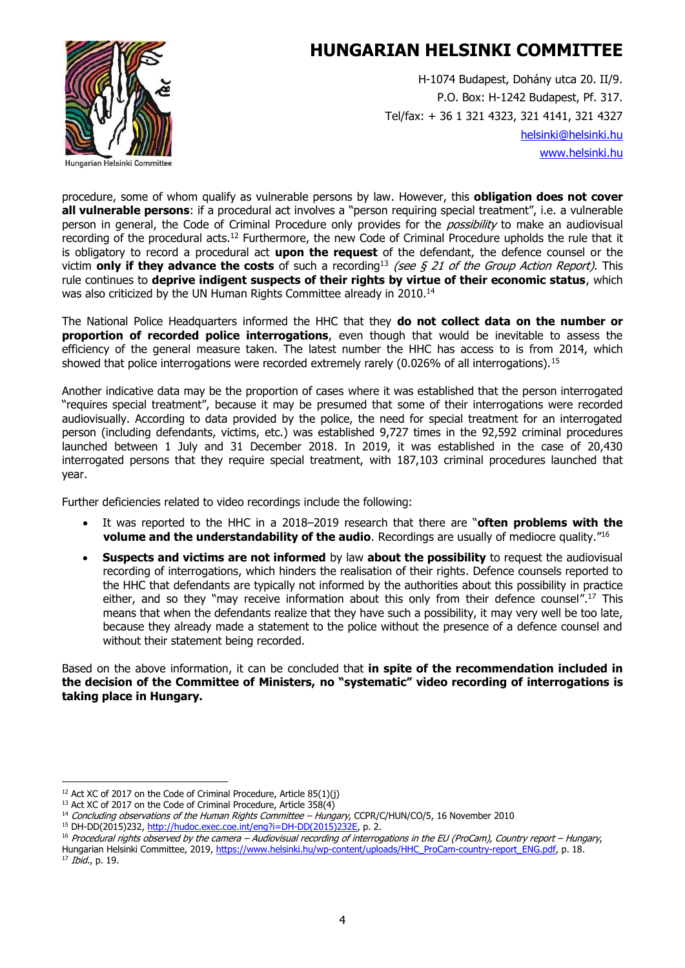

H-1074 Budapest, Dohány utca 20. II/9. P.O. Box: H-1242 Budapest, Pf. 317. Tel/fax: + 36 1 321 4323, 321 4141, 321 4327 [helsinki@helsinki.hu](mailto:helsinki@helsinki.hu) [www.helsinki.hu](http://www.helsinki.hu/)

procedure, some of whom qualify as vulnerable persons by law. However, this **obligation does not cover all vulnerable persons**: if a procedural act involves a "person requiring special treatment", i.e. a vulnerable person in general, the Code of Criminal Procedure only provides for the *possibility* to make an audiovisual recording of the procedural acts.<sup>12</sup> Furthermore, the new Code of Criminal Procedure upholds the rule that it is obligatory to record a procedural act **upon the request** of the defendant, the defence counsel or the victim **only if they advance the costs** of such a recording<sup>13</sup> (see  $\zeta$  21 of the Group Action Report). This rule continues to **deprive indigent suspects of their rights by virtue of their economic status**, which was also criticized by the UN Human Rights Committee already in 2010.<sup>14</sup>

The National Police Headquarters informed the HHC that they **do not collect data on the number or proportion of recorded police interrogations**, even though that would be inevitable to assess the efficiency of the general measure taken. The latest number the HHC has access to is from 2014, which showed that police interrogations were recorded extremely rarely  $(0.026\%$  of all interrogations).<sup>15</sup>

Another indicative data may be the proportion of cases where it was established that the person interrogated "requires special treatment", because it may be presumed that some of their interrogations were recorded audiovisually. According to data provided by the police, the need for special treatment for an interrogated person (including defendants, victims, etc.) was established 9,727 times in the 92,592 criminal procedures launched between 1 July and 31 December 2018. In 2019, it was established in the case of 20,430 interrogated persons that they require special treatment, with 187,103 criminal procedures launched that year.

Further deficiencies related to video recordings include the following:

- It was reported to the HHC in a 2018–2019 research that there are "**often problems with the volume and the understandability of the audio**. Recordings are usually of mediocre quality." 16
- **Suspects and victims are not informed** by law **about the possibility** to request the audiovisual recording of interrogations, which hinders the realisation of their rights. Defence counsels reported to the HHC that defendants are typically not informed by the authorities about this possibility in practice either, and so they "may receive information about this only from their defence counsel".<sup>17</sup> This means that when the defendants realize that they have such a possibility, it may very well be too late, because they already made a statement to the police without the presence of a defence counsel and without their statement being recorded.

Based on the above information, it can be concluded that **in spite of the recommendation included in the decision of the Committee of Ministers, no "systematic" video recording of interrogations is taking place in Hungary.**

 $17$  *Ibid.*, p. 19.

 $12$  Act XC of 2017 on the Code of Criminal Procedure, Article 85(1)(j)

<sup>&</sup>lt;sup>13</sup> Act XC of 2017 on the Code of Criminal Procedure, Article 358(4)

<sup>&</sup>lt;sup>14</sup> Concluding observations of the Human Rights Committee – Hungary, CCPR/C/HUN/CO/5, 16 November 2010

<sup>15</sup> DH-DD(2015)232, [http://hudoc.exec.coe.int/eng?i=DH-DD\(2015\)232E,](http://hudoc.exec.coe.int/eng?i=DH-DD(2015)232E) p. 2.

<sup>16</sup> Procedural rights observed by the camera – Audiovisual recording of interrogations in the EU (ProCam), Country report – Hungary, Hungarian Helsinki Committee, 2019, [https://www.helsinki.hu/wp-content/uploads/HHC\\_ProCam-country-report\\_ENG.pdf,](https://www.helsinki.hu/wp-content/uploads/HHC_ProCam-country-report_ENG.pdf) p. 18.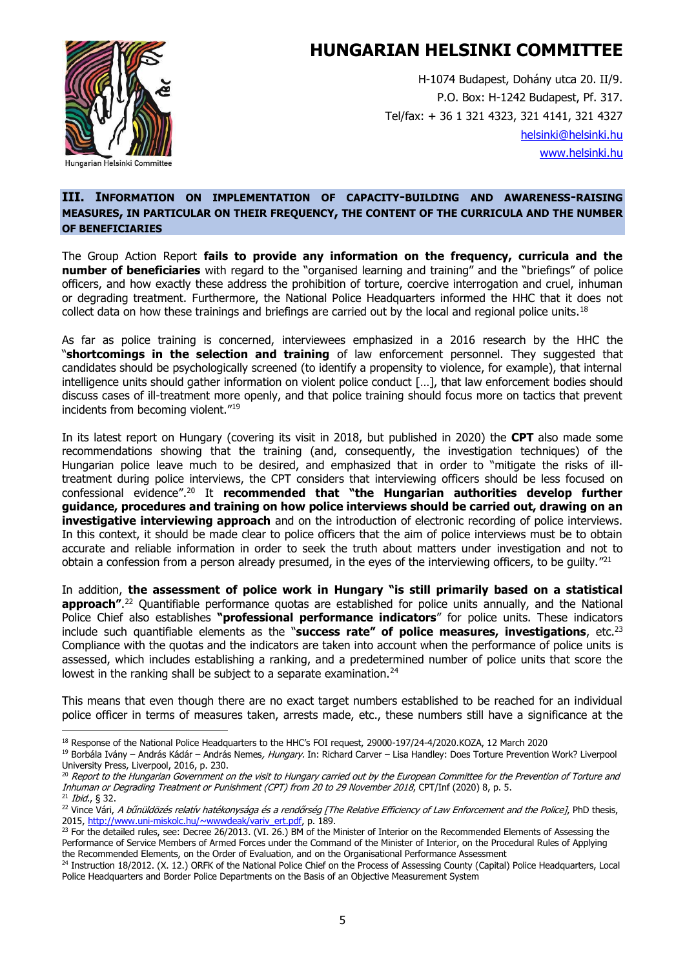

H-1074 Budapest, Dohány utca 20. II/9. P.O. Box: H-1242 Budapest, Pf. 317. Tel/fax: + 36 1 321 4323, 321 4141, 321 4327 [helsinki@helsinki.hu](mailto:helsinki@helsinki.hu) [www.helsinki.hu](http://www.helsinki.hu/)

#### **III. INFORMATION ON IMPLEMENTATION OF CAPACITY-BUILDING AND AWARENESS-RAISING MEASURES, IN PARTICULAR ON THEIR FREQUENCY, THE CONTENT OF THE CURRICULA AND THE NUMBER OF BENEFICIARIES**

The Group Action Report **fails to provide any information on the frequency, curricula and the number of beneficiaries** with regard to the "organised learning and training" and the "briefings" of police officers, and how exactly these address the prohibition of torture, coercive interrogation and cruel, inhuman or degrading treatment. Furthermore, the National Police Headquarters informed the HHC that it does not collect data on how these trainings and briefings are carried out by the local and regional police units.<sup>18</sup>

As far as police training is concerned, interviewees emphasized in a 2016 research by the HHC the "**shortcomings in the selection and training** of law enforcement personnel. They suggested that candidates should be psychologically screened (to identify a propensity to violence, for example), that internal intelligence units should gather information on violent police conduct […], that law enforcement bodies should discuss cases of ill-treatment more openly, and that police training should focus more on tactics that prevent incidents from becoming violent."<sup>19</sup>

In its latest report on Hungary (covering its visit in 2018, but published in 2020) the **CPT** also made some recommendations showing that the training (and, consequently, the investigation techniques) of the Hungarian police leave much to be desired, and emphasized that in order to "mitigate the risks of illtreatment during police interviews, the CPT considers that interviewing officers should be less focused on confessional evidence". <sup>20</sup> It **recommended that "the Hungarian authorities develop further guidance, procedures and training on how police interviews should be carried out, drawing on an investigative interviewing approach** and on the introduction of electronic recording of police interviews. In this context, it should be made clear to police officers that the aim of police interviews must be to obtain accurate and reliable information in order to seek the truth about matters under investigation and not to obtain a confession from a person already presumed, in the eyes of the interviewing officers, to be guilty."<sup>21</sup>

In addition, **the assessment of police work in Hungary "is still primarily based on a statistical approach"**. <sup>22</sup> Quantifiable performance quotas are established for police units annually, and the National Police Chief also establishes **"professional performance indicators**" for police units. These indicators include such quantifiable elements as the "**success rate" of police measures, investigations**, etc.<sup>23</sup> Compliance with the quotas and the indicators are taken into account when the performance of police units is assessed, which includes establishing a ranking, and a predetermined number of police units that score the lowest in the ranking shall be subject to a separate examination.<sup>24</sup>

This means that even though there are no exact target numbers established to be reached for an individual police officer in terms of measures taken, arrests made, etc., these numbers still have a significance at the

<sup>19</sup> Borbála Ivány – András Kádár – András Nemes, Hungary. In: Richard Carver – Lisa Handley: Does Torture Prevention Work? Liverpool University Press, Liverpool, 2016, p. 230.

<sup>18</sup> Response of the National Police Headquarters to the HHC's FOI request, 29000-197/24-4/2020.KOZA, 12 March 2020

<sup>&</sup>lt;sup>20</sup> Report to the Hungarian Government on the visit to Hungary carried out by the European Committee for the Prevention of Torture and Inhuman or Degrading Treatment or Punishment (CPT) from 20 to 29 November 2018, CPT/Inf (2020) 8, p. 5. <sup>21</sup> Ibid., § 32.

<sup>&</sup>lt;sup>22</sup> Vince Vári, A bűnüldözés relatív hatékonysága és a rendőrség [The Relative Efficiency of Law Enforcement and the Police], PhD thesis, 2015, [http://www.uni-miskolc.hu/~wwwdeak/variv\\_ert.pdf,](http://www.uni-miskolc.hu/~wwwdeak/variv_ert.pdf) p. 189.

<sup>&</sup>lt;sup>23</sup> For the detailed rules, see: Decree 26/2013. (VI. 26.) BM of the Minister of Interior on the Recommended Elements of Assessing the Performance of Service Members of Armed Forces under the Command of the Minister of Interior, on the Procedural Rules of Applying the Recommended Elements, on the Order of Evaluation, and on the Organisational Performance Assessment

<sup>&</sup>lt;sup>24</sup> Instruction 18/2012. (X. 12.) ORFK of the National Police Chief on the Process of Assessing County (Capital) Police Headquarters, Local Police Headquarters and Border Police Departments on the Basis of an Objective Measurement System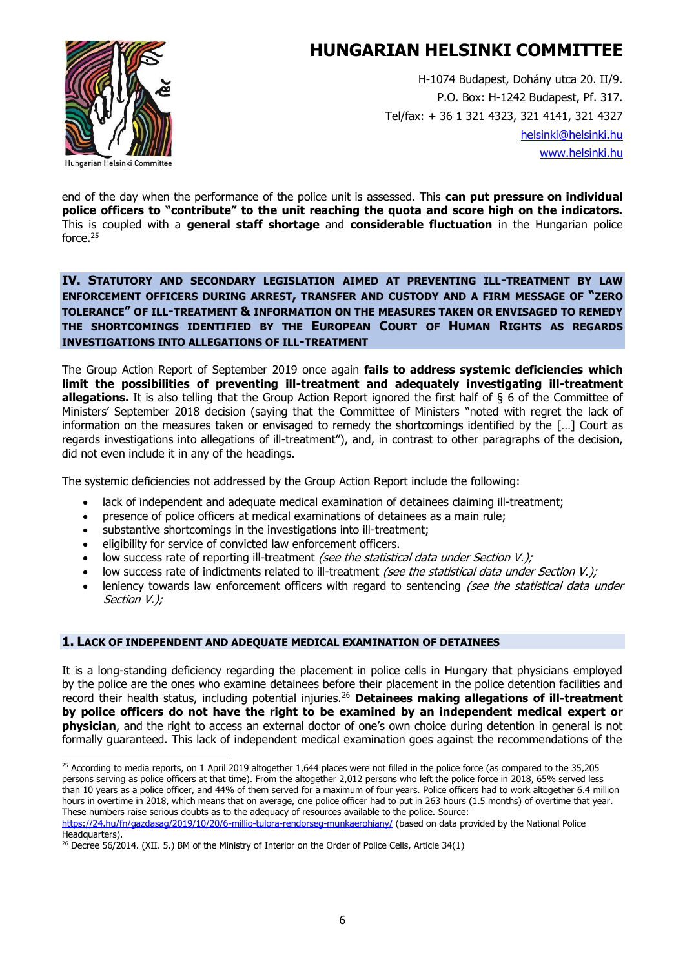

H-1074 Budapest, Dohány utca 20. II/9. P.O. Box: H-1242 Budapest, Pf. 317. Tel/fax: + 36 1 321 4323, 321 4141, 321 4327 [helsinki@helsinki.hu](mailto:helsinki@helsinki.hu) [www.helsinki.hu](http://www.helsinki.hu/)

end of the day when the performance of the police unit is assessed. This **can put pressure on individual police officers to "contribute" to the unit reaching the quota and score high on the indicators.** This is coupled with a **general staff shortage** and **considerable fluctuation** in the Hungarian police force.<sup>25</sup>

**IV. STATUTORY AND SECONDARY LEGISLATION AIMED AT PREVENTING ILL-TREATMENT BY LAW ENFORCEMENT OFFICERS DURING ARREST, TRANSFER AND CUSTODY AND A FIRM MESSAGE OF "ZERO TOLERANCE" OF ILL-TREATMENT & INFORMATION ON THE MEASURES TAKEN OR ENVISAGED TO REMEDY THE SHORTCOMINGS IDENTIFIED BY THE EUROPEAN COURT OF HUMAN RIGHTS AS REGARDS INVESTIGATIONS INTO ALLEGATIONS OF ILL-TREATMENT**

The Group Action Report of September 2019 once again **fails to address systemic deficiencies which limit the possibilities of preventing ill-treatment and adequately investigating ill-treatment allegations.** It is also telling that the Group Action Report ignored the first half of § 6 of the Committee of Ministers' September 2018 decision (saying that the Committee of Ministers "noted with regret the lack of information on the measures taken or envisaged to remedy the shortcomings identified by the […] Court as regards investigations into allegations of ill-treatment"), and, in contrast to other paragraphs of the decision, did not even include it in any of the headings.

The systemic deficiencies not addressed by the Group Action Report include the following:

- lack of independent and adequate medical examination of detainees claiming ill-treatment;
- presence of police officers at medical examinations of detainees as a main rule;
- substantive shortcomings in the investigations into ill-treatment;
- eligibility for service of convicted law enforcement officers.
- low success rate of reporting ill-treatment (see the statistical data under Section V.);
- low success rate of indictments related to ill-treatment (see the statistical data under Section V.);
- leniency towards law enforcement officers with regard to sentencing (see the statistical data under Section V.);

#### **1. LACK OF INDEPENDENT AND ADEQUATE MEDICAL EXAMINATION OF DETAINEES**

It is a long-standing deficiency regarding the placement in police cells in Hungary that physicians employed by the police are the ones who examine detainees before their placement in the police detention facilities and record their health status, including potential injuries.<sup>26</sup> **Detainees making allegations of ill-treatment by police officers do not have the right to be examined by an independent medical expert or physician**, and the right to access an external doctor of one's own choice during detention in general is not formally guaranteed. This lack of independent medical examination goes against the recommendations of the

 $25$  According to media reports, on 1 April 2019 altogether 1,644 places were not filled in the police force (as compared to the 35,205 persons serving as police officers at that time). From the altogether 2,012 persons who left the police force in 2018, 65% served less than 10 years as a police officer, and 44% of them served for a maximum of four years. Police officers had to work altogether 6.4 million hours in overtime in 2018, which means that on average, one police officer had to put in 263 hours (1.5 months) of overtime that year. These numbers raise serious doubts as to the adequacy of resources available to the police. Source:

<https://24.hu/fn/gazdasag/2019/10/20/6-millio-tulora-rendorseg-munkaerohiany/> (based on data provided by the National Police Headquarters).

 $^{26}$  Decree 56/2014. (XII. 5.) BM of the Ministry of Interior on the Order of Police Cells, Article 34(1)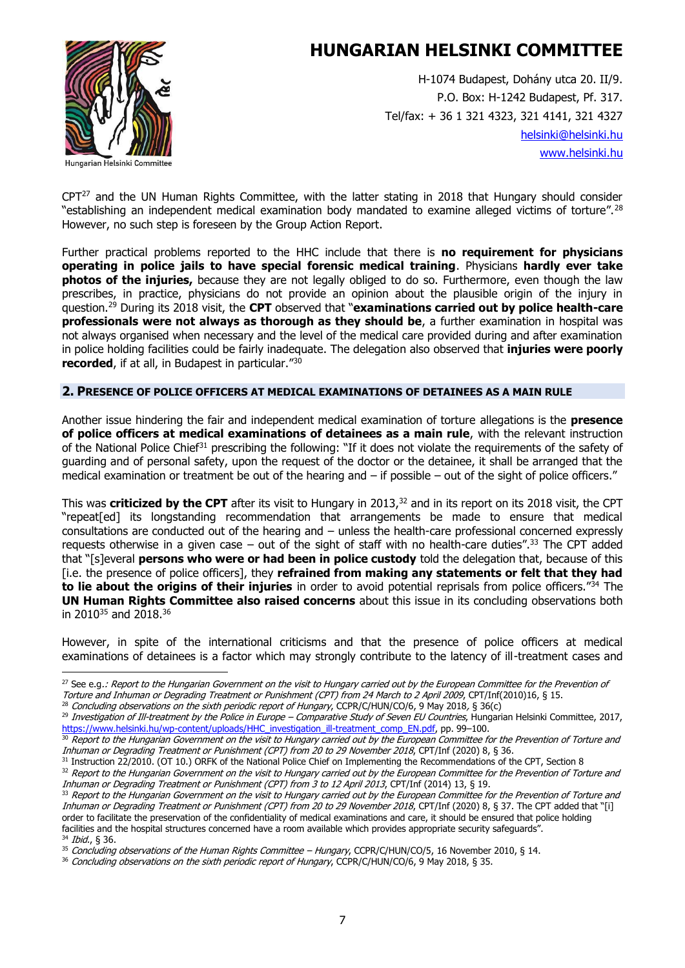

H-1074 Budapest, Dohány utca 20. II/9. P.O. Box: H-1242 Budapest, Pf. 317. Tel/fax: + 36 1 321 4323, 321 4141, 321 4327 [helsinki@helsinki.hu](mailto:helsinki@helsinki.hu) [www.helsinki.hu](http://www.helsinki.hu/)

CPT<sup>27</sup> and the UN Human Rights Committee, with the latter stating in 2018 that Hungary should consider "establishing an independent medical examination body mandated to examine alleged victims of torture".<sup>28</sup> However, no such step is foreseen by the Group Action Report.

Further practical problems reported to the HHC include that there is **no requirement for physicians operating in police jails to have special forensic medical training**. Physicians **hardly ever take photos of the injuries,** because they are not legally obliged to do so. Furthermore, even though the law prescribes, in practice, physicians do not provide an opinion about the plausible origin of the injury in question.<sup>29</sup> During its 2018 visit, the **CPT** observed that "**examinations carried out by police health-care professionals were not always as thorough as they should be**, a further examination in hospital was not always organised when necessary and the level of the medical care provided during and after examination in police holding facilities could be fairly inadequate. The delegation also observed that **injuries were poorly recorded**, if at all, in Budapest in particular."<sup>30</sup>

#### **2. PRESENCE OF POLICE OFFICERS AT MEDICAL EXAMINATIONS OF DETAINEES AS A MAIN RULE**

Another issue hindering the fair and independent medical examination of torture allegations is the **presence of police officers at medical examinations of detainees as a main rule**, with the relevant instruction of the National Police Chief<sup>31</sup> prescribing the following: "If it does not violate the requirements of the safety of guarding and of personal safety, upon the request of the doctor or the detainee, it shall be arranged that the medical examination or treatment be out of the hearing and – if possible – out of the sight of police officers."

This was **criticized by the CPT** after its visit to Hungary in 2013, <sup>32</sup> and in its report on its 2018 visit, the CPT "repeat[ed] its longstanding recommendation that arrangements be made to ensure that medical consultations are conducted out of the hearing and – unless the health-care professional concerned expressly requests otherwise in a given case – out of the sight of staff with no health-care duties".<sup>33</sup> The CPT added that "[s]everal **persons who were or had been in police custody** told the delegation that, because of this [i.e. the presence of police officers], they **refrained from making any statements or felt that they had to lie about the origins of their injuries** in order to avoid potential reprisals from police officers."<sup>34</sup> The **UN Human Rights Committee also raised concerns** about this issue in its concluding observations both in 2010<sup>35</sup> and 2018.<sup>36</sup>

However, in spite of the international criticisms and that the presence of police officers at medical examinations of detainees is a factor which may strongly contribute to the latency of ill-treatment cases and

<sup>28</sup> Concluding observations on the sixth periodic report of Hungary, CCPR/C/HUN/CO/6, 9 May 2018, § 36(c)

<sup>&</sup>lt;sup>27</sup> See e.g.: Report to the Hungarian Government on the visit to Hungary carried out by the European Committee for the Prevention of Torture and Inhuman or Degrading Treatment or Punishment (CPT) from 24 March to 2 April 2009, CPT/Inf(2010)16, § 15.

 $^{29}$  Investigation of Ill-treatment by the Police in Europe – Comparative Study of Seven EU Countries, Hungarian Helsinki Committee, 2017, [https://www.helsinki.hu/wp-content/uploads/HHC\\_investigation\\_ill-treatment\\_comp\\_EN.pdf,](https://www.helsinki.hu/wp-content/uploads/HHC_investigation_ill-treatment_comp_EN.pdf) pp. 99–100.

<sup>30</sup> Report to the Hungarian Government on the visit to Hungary carried out by the European Committee for the Prevention of Torture and Inhuman or Degrading Treatment or Punishment (CPT) from 20 to 29 November 2018, CPT/Inf (2020) 8, § 36.

<sup>31</sup> Instruction 22/2010. (OT 10.) ORFK of the National Police Chief on Implementing the Recommendations of the CPT, Section 8

<sup>32</sup> Report to the Hungarian Government on the visit to Hungary carried out by the European Committee for the Prevention of Torture and Inhuman or Degrading Treatment or Punishment (CPT) from 3 to 12 April 2013, CPT/Inf (2014) 13, § 19.

<sup>33</sup> Report to the Hungarian Government on the visit to Hungary carried out by the European Committee for the Prevention of Torture and Inhuman or Degrading Treatment or Punishment (CPT) from 20 to 29 November 2018, CPT/Inf (2020) 8, § 37. The CPT added that "[i] order to facilitate the preservation of the confidentiality of medical examinations and care, it should be ensured that police holding facilities and the hospital structures concerned have a room available which provides appropriate security safeguards". <sup>34</sup> Ibid., § 36.

<sup>&</sup>lt;sup>35</sup> Concluding observations of the Human Rights Committee – Hungary, CCPR/C/HUN/CO/5, 16 November 2010, § 14.

<sup>36</sup> Concluding observations on the sixth periodic report of Hungary, CCPR/C/HUN/CO/6, 9 May 2018, § 35.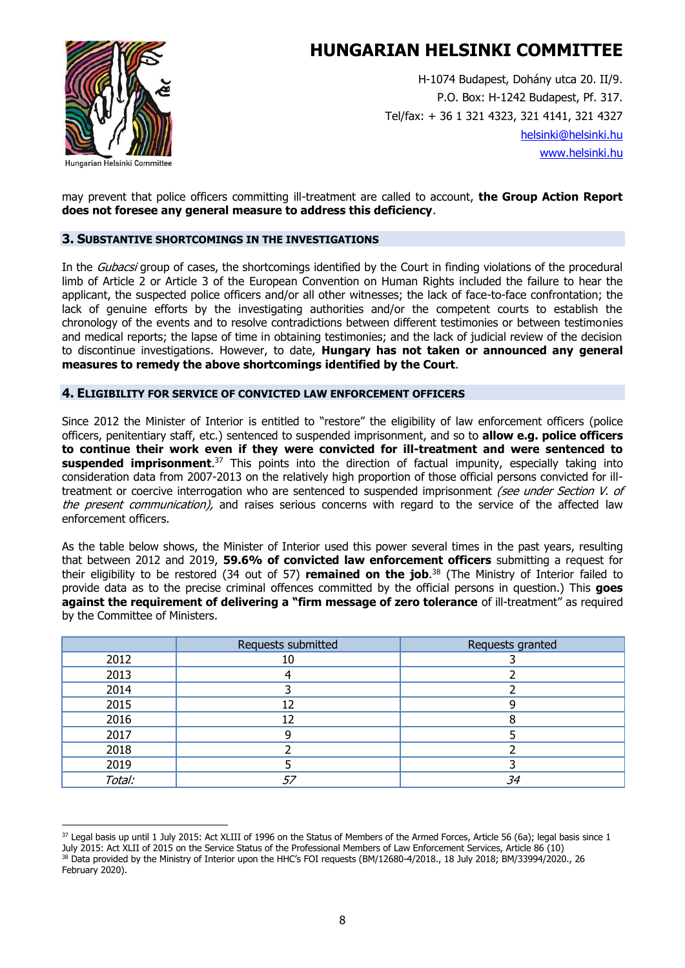

H-1074 Budapest, Dohány utca 20. II/9. P.O. Box: H-1242 Budapest, Pf. 317. Tel/fax: + 36 1 321 4323, 321 4141, 321 4327 [helsinki@helsinki.hu](mailto:helsinki@helsinki.hu) [www.helsinki.hu](http://www.helsinki.hu/)

may prevent that police officers committing ill-treatment are called to account, **the Group Action Report does not foresee any general measure to address this deficiency**.

#### **3. SUBSTANTIVE SHORTCOMINGS IN THE INVESTIGATIONS**

In the *Gubacsi* group of cases, the shortcomings identified by the Court in finding violations of the procedural limb of Article 2 or Article 3 of the European Convention on Human Rights included the failure to hear the applicant, the suspected police officers and/or all other witnesses; the lack of face-to-face confrontation; the lack of genuine efforts by the investigating authorities and/or the competent courts to establish the chronology of the events and to resolve contradictions between different testimonies or between testimonies and medical reports; the lapse of time in obtaining testimonies; and the lack of judicial review of the decision to discontinue investigations. However, to date, **Hungary has not taken or announced any general measures to remedy the above shortcomings identified by the Court**.

#### **4. ELIGIBILITY FOR SERVICE OF CONVICTED LAW ENFORCEMENT OFFICERS**

Since 2012 the Minister of Interior is entitled to "restore" the eligibility of law enforcement officers (police officers, penitentiary staff, etc.) sentenced to suspended imprisonment, and so to **allow e.g. police officers to continue their work even if they were convicted for ill-treatment and were sentenced to suspended imprisonment**. <sup>37</sup> This points into the direction of factual impunity, especially taking into consideration data from 2007-2013 on the relatively high proportion of those official persons convicted for illtreatment or coercive interrogation who are sentenced to suspended imprisonment (see under Section V. of the present communication), and raises serious concerns with regard to the service of the affected law enforcement officers.

As the table below shows, the Minister of Interior used this power several times in the past years, resulting that between 2012 and 2019, **59.6% of convicted law enforcement officers** submitting a request for their eligibility to be restored (34 out of 57) **remained on the job**. <sup>38</sup> (The Ministry of Interior failed to provide data as to the precise criminal offences committed by the official persons in question.) This **goes against the requirement of delivering a "firm message of zero tolerance** of ill-treatment" as required by the Committee of Ministers.

|        | Requests submitted | Requests granted |
|--------|--------------------|------------------|
| 2012   | 10                 |                  |
| 2013   |                    |                  |
| 2014   |                    |                  |
| 2015   |                    |                  |
| 2016   | 12                 |                  |
| 2017   |                    |                  |
| 2018   |                    |                  |
| 2019   |                    |                  |
| Total: | 57                 | 34               |

<sup>37</sup> Legal basis up until 1 July 2015: Act XLIII of 1996 on the Status of Members of the Armed Forces, Article 56 (6a); legal basis since 1 July 2015: Act XLII of 2015 on the Service Status of the Professional Members of Law Enforcement Services, Article 86 (10) <sup>38</sup> Data provided by the Ministry of Interior upon the HHC's FOI requests (BM/12680-4/2018., 18 July 2018; BM/33994/2020., 26 February 2020).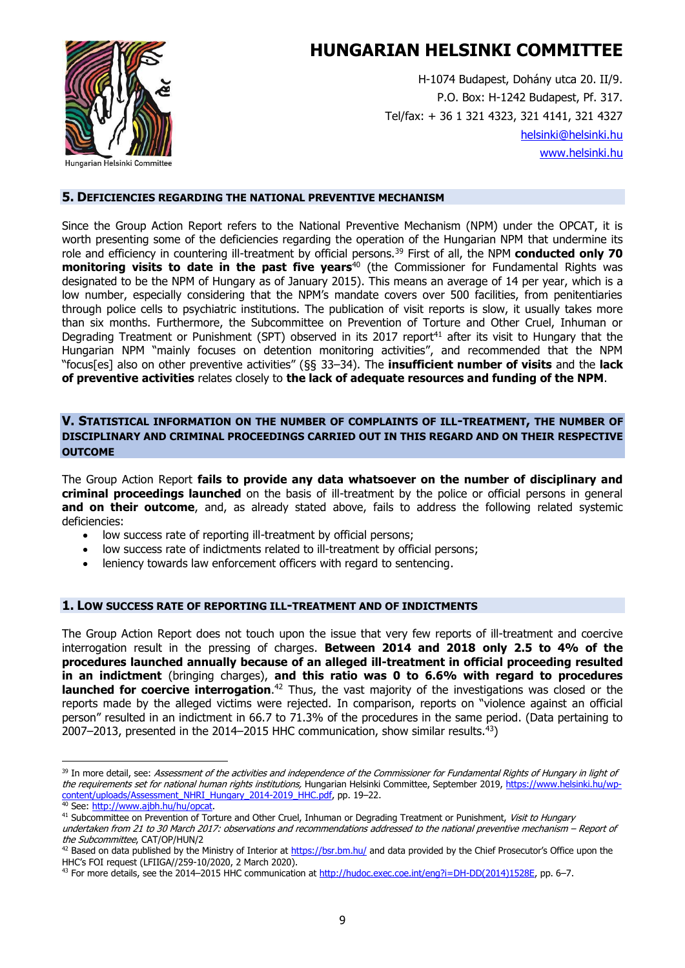

H-1074 Budapest, Dohány utca 20. II/9. P.O. Box: H-1242 Budapest, Pf. 317. Tel/fax: + 36 1 321 4323, 321 4141, 321 4327 [helsinki@helsinki.hu](mailto:helsinki@helsinki.hu) [www.helsinki.hu](http://www.helsinki.hu/)

#### **5. DEFICIENCIES REGARDING THE NATIONAL PREVENTIVE MECHANISM**

Since the Group Action Report refers to the National Preventive Mechanism (NPM) under the OPCAT, it is worth presenting some of the deficiencies regarding the operation of the Hungarian NPM that undermine its role and efficiency in countering ill-treatment by official persons.<sup>39</sup> First of all, the NPM **conducted only 70 monitoring visits to date in the past five years**<sup>40</sup> (the Commissioner for Fundamental Rights was designated to be the NPM of Hungary as of January 2015). This means an average of 14 per year, which is a low number, especially considering that the NPM's mandate covers over 500 facilities, from penitentiaries through police cells to psychiatric institutions. The publication of visit reports is slow, it usually takes more than six months. Furthermore, the Subcommittee on Prevention of Torture and Other Cruel, Inhuman or Degrading Treatment or Punishment (SPT) observed in its 2017 report<sup>41</sup> after its visit to Hungary that the Hungarian NPM "mainly focuses on detention monitoring activities", and recommended that the NPM "focus[es] also on other preventive activities" (§§ 33–34). The **insufficient number of visits** and the **lack of preventive activities** relates closely to **the lack of adequate resources and funding of the NPM**.

#### **V. STATISTICAL INFORMATION ON THE NUMBER OF COMPLAINTS OF ILL-TREATMENT, THE NUMBER OF DISCIPLINARY AND CRIMINAL PROCEEDINGS CARRIED OUT IN THIS REGARD AND ON THEIR RESPECTIVE OUTCOME**

The Group Action Report **fails to provide any data whatsoever on the number of disciplinary and criminal proceedings launched** on the basis of ill-treatment by the police or official persons in general **and on their outcome**, and, as already stated above, fails to address the following related systemic deficiencies:

- low success rate of reporting ill-treatment by official persons;
- low success rate of indictments related to ill-treatment by official persons;
- leniency towards law enforcement officers with regard to sentencing.

#### **1. LOW SUCCESS RATE OF REPORTING ILL-TREATMENT AND OF INDICTMENTS**

The Group Action Report does not touch upon the issue that very few reports of ill-treatment and coercive interrogation result in the pressing of charges. **Between 2014 and 2018 only 2.5 to 4% of the procedures launched annually because of an alleged ill-treatment in official proceeding resulted in an indictment** (bringing charges), **and this ratio was 0 to 6.6% with regard to procedures launched for coercive interrogation.**<sup>42</sup> Thus, the vast majority of the investigations was closed or the reports made by the alleged victims were rejected. In comparison, reports on "violence against an official person" resulted in an indictment in 66.7 to 71.3% of the procedures in the same period. (Data pertaining to 2007–2013, presented in the 2014–2015 HHC communication, show similar results.<sup>43</sup>)

<sup>&</sup>lt;sup>39</sup> In more detail, see: Assessment of the activities and independence of the Commissioner for Fundamental Rights of Hungary in light of the requirements set for national human rights institutions, Hungarian Helsinki Committee, September 2019, [https://www.helsinki.hu/wp](https://www.helsinki.hu/wp-content/uploads/Assessment_NHRI_Hungary_2014-2019_HHC.pdf)[content/uploads/Assessment\\_NHRI\\_Hungary\\_2014-2019\\_HHC.pdf,](https://www.helsinki.hu/wp-content/uploads/Assessment_NHRI_Hungary_2014-2019_HHC.pdf) pp. 19–22. <sup>40</sup> See: [http://www.ajbh.hu/hu/opcat.](http://www.ajbh.hu/hu/opcat) 

<sup>&</sup>lt;sup>41</sup> Subcommittee on Prevention of Torture and Other Cruel, Inhuman or Degrading Treatment or Punishment, Visit to Hungary

undertaken from 21 to 30 March 2017: observations and recommendations addressed to the national preventive mechanism – Report of the Subcommittee, CAT/OP/HUN/2

<sup>&</sup>lt;sup>42</sup> Based on data published by the Ministry of Interior at<https://bsr.bm.hu/> and data provided by the Chief Prosecutor's Office upon the HHC's FOI request (LFIIGA//259-10/2020, 2 March 2020).

<sup>43</sup> For more details, see the 2014-2015 HHC communication a[t http://hudoc.exec.coe.int/eng?i=DH-DD\(2014\)1528E,](http://hudoc.exec.coe.int/eng?i=DH-DD(2014)1528E) pp. 6-7.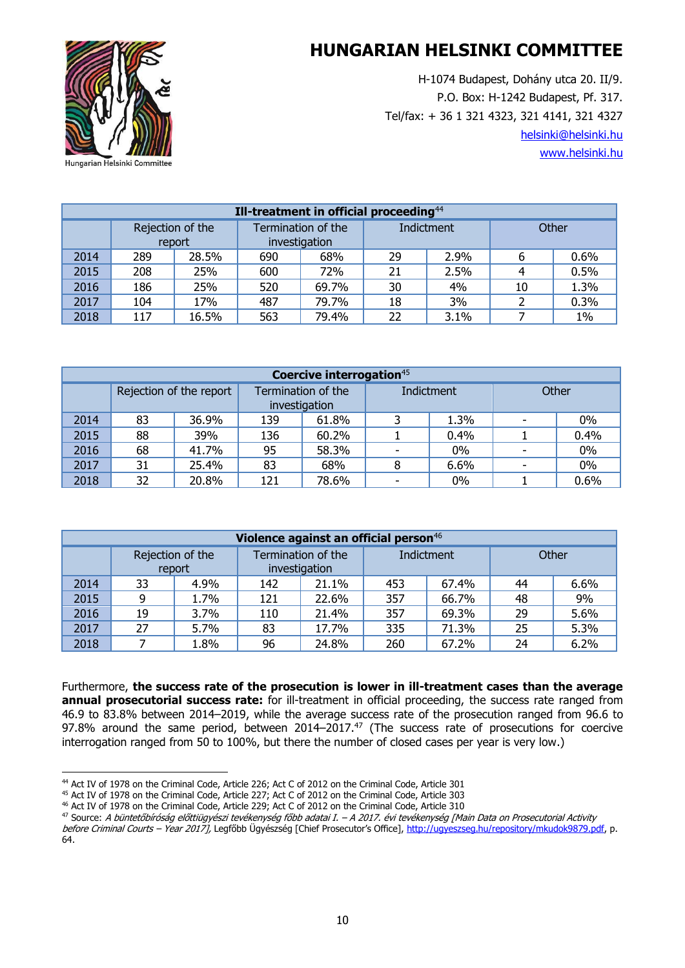H-1074 Budapest, Dohány utca 20. II/9. P.O. Box: H-1242 Budapest, Pf. 317. Tel/fax: + 36 1 321 4323, 321 4141, 321 4327 [helsinki@helsinki.hu](mailto:helsinki@helsinki.hu) [www.helsinki.hu](http://www.helsinki.hu/)



| Ill-treatment in official proceeding $44$ |                            |       |                                     |       |    |            |    |              |  |  |
|-------------------------------------------|----------------------------|-------|-------------------------------------|-------|----|------------|----|--------------|--|--|
|                                           | Rejection of the<br>report |       | Termination of the<br>investigation |       |    | Indictment |    | <b>Other</b> |  |  |
| 2014                                      | 289                        | 28.5% | 690                                 | 68%   | 29 | 2.9%       | 6  | 0.6%         |  |  |
| 2015                                      | 208                        | 25%   | 600                                 | 72%   | 21 | 2.5%       |    | 0.5%         |  |  |
| 2016                                      | 186                        | 25%   | 520                                 | 69.7% | 30 | 4%         | 10 | 1.3%         |  |  |
| 2017                                      | 104                        | 17%   | 487                                 | 79.7% | 18 | 3%         |    | 0.3%         |  |  |
| 2018                                      | 117                        | 16.5% | 563                                 | 79.4% | 22 | 3.1%       |    | $1\%$        |  |  |

| Coercive interrogation <sup>45</sup> |                         |       |                    |               |            |       |       |       |  |  |
|--------------------------------------|-------------------------|-------|--------------------|---------------|------------|-------|-------|-------|--|--|
|                                      | Rejection of the report |       | Termination of the |               | Indictment |       | Other |       |  |  |
|                                      |                         |       |                    | investigation |            |       |       |       |  |  |
| 2014                                 | 83                      | 36.9% | 139                | 61.8%         |            | 1.3%  |       | $0\%$ |  |  |
| 2015                                 | 88                      | 39%   | 136                | 60.2%         |            | 0.4%  |       | 0.4%  |  |  |
| 2016                                 | 68                      | 41.7% | 95                 | 58.3%         |            | $0\%$ |       | $0\%$ |  |  |
| 2017                                 | 31                      | 25.4% | 83                 | 68%           |            | 6.6%  |       | 0%    |  |  |
| 2018                                 | 32                      | 20.8% | 121                | 78.6%         |            | $0\%$ |       | 0.6%  |  |  |

| Violence against an official person <sup>46</sup> |                                                                   |      |            |       |       |       |    |      |  |  |
|---------------------------------------------------|-------------------------------------------------------------------|------|------------|-------|-------|-------|----|------|--|--|
|                                                   | Termination of the<br>Rejection of the<br>investigation<br>report |      | Indictment |       | Other |       |    |      |  |  |
| 2014                                              | 33                                                                | 4.9% | 142        | 21.1% | 453   | 67.4% | 44 | 6.6% |  |  |
| 2015                                              | 9                                                                 | 1.7% | 121        | 22.6% | 357   | 66.7% | 48 | 9%   |  |  |
| 2016                                              | 19                                                                | 3.7% | 110        | 21.4% | 357   | 69.3% | 29 | 5.6% |  |  |
| 2017                                              | 27                                                                | 5.7% | 83         | 17.7% | 335   | 71.3% | 25 | 5.3% |  |  |
| 2018                                              |                                                                   | 1.8% | 96         | 24.8% | 260   | 67.2% | 24 | 6.2% |  |  |

Furthermore, **the success rate of the prosecution is lower in ill-treatment cases than the average annual prosecutorial success rate:** for ill-treatment in official proceeding, the success rate ranged from 46.9 to 83.8% between 2014–2019, while the average success rate of the prosecution ranged from 96.6 to 97.8% around the same period, between  $2014-2017<sup>47</sup>$  (The success rate of prosecutions for coercive interrogation ranged from 50 to 100%, but there the number of closed cases per year is very low.)

<sup>44</sup> Act IV of 1978 on the Criminal Code, Article 226; Act C of 2012 on the Criminal Code, Article 301

<sup>45</sup> Act IV of 1978 on the Criminal Code, Article 227; Act C of 2012 on the Criminal Code, Article 303

<sup>46</sup> Act IV of 1978 on the Criminal Code, Article 229; Act C of 2012 on the Criminal Code, Article 310

<sup>47</sup> Source: A büntetőbíróság előttiügyészi tevékenység főbb adatai I. – A 2017. évi tevékenység [Main Data on Prosecutorial Activity

before Criminal Courts - Year 2017], Legfőbb Ügyészség [Chief Prosecutor's Office], [http://ugyeszseg.hu/repository/mkudok9879.pdf,](http://ugyeszseg.hu/repository/mkudok9879.pdf) p. 64.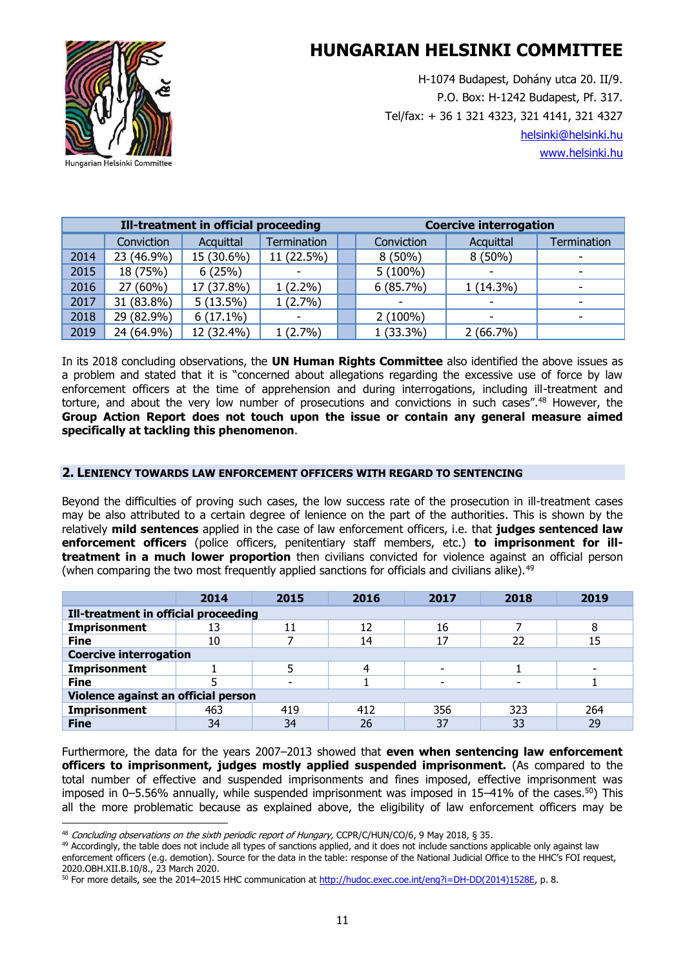

H-1074 Budapest, Dohány utca 20. II/9. P.O. Box: H-1242 Budapest, Pf. 317. Tel/fax: + 36 1 321 4323, 321 4141, 321 4327 [helsinki@helsinki.hu](mailto:helsinki@helsinki.hu) [www.helsinki.hu](http://www.helsinki.hu/)

| Ill-treatment in official proceeding |            |             |                          |  | <b>Coercive interrogation</b> |             |             |  |
|--------------------------------------|------------|-------------|--------------------------|--|-------------------------------|-------------|-------------|--|
|                                      | Conviction | Acquittal   | Termination              |  | Conviction                    | Acquittal   | Termination |  |
| 2014                                 | 23 (46.9%) | 15 (30.6%)  | 11 (22.5%)               |  | $8(50\%)$                     | $8(50\%)$   |             |  |
| 2015                                 | 18 (75%)   | 6(25%)      | $\overline{\phantom{0}}$ |  | $5(100\%)$                    |             |             |  |
| 2016                                 | 27 (60%)   | 17 (37.8%)  | $1(2.2\%)$               |  | 6(85.7%)                      | $1(14.3\%)$ |             |  |
| 2017                                 | 31 (83.8%) | $5(13.5\%)$ | $1(2.7\%)$               |  |                               |             |             |  |
| 2018                                 | 29 (82.9%) | $6(17.1\%)$ |                          |  | $2(100\%)$                    | -           |             |  |
| 2019                                 | 24 (64.9%) | 12 (32.4%)  | 1(2.7%)                  |  | $1(33.3\%)$                   | 2(66.7%)    |             |  |

In its 2018 concluding observations, the **UN Human Rights Committee** also identified the above issues as a problem and stated that it is "concerned about allegations regarding the excessive use of force by law enforcement officers at the time of apprehension and during interrogations, including ill-treatment and torture, and about the very low number of prosecutions and convictions in such cases".<sup>48</sup> However, the **Group Action Report does not touch upon the issue or contain any general measure aimed specifically at tackling this phenomenon**.

#### **2. LENIENCY TOWARDS LAW ENFORCEMENT OFFICERS WITH REGARD TO SENTENCING**

Beyond the difficulties of proving such cases, the low success rate of the prosecution in ill-treatment cases may be also attributed to a certain degree of lenience on the part of the authorities. This is shown by the relatively **mild sentences** applied in the case of law enforcement officers, i.e. that **judges sentenced law enforcement officers** (police officers, penitentiary staff members, etc.) **to imprisonment for illtreatment in a much lower proportion** then civilians convicted for violence against an official person (when comparing the two most frequently applied sanctions for officials and civilians alike).<sup>49</sup>

|                                      | 2014                          | 2015 | 2016 | 2017                     | 2018 | 2019 |  |  |  |
|--------------------------------------|-------------------------------|------|------|--------------------------|------|------|--|--|--|
| Ill-treatment in official proceeding |                               |      |      |                          |      |      |  |  |  |
| Imprisonment                         | 13                            | 11   | 12   | 16                       |      | 8    |  |  |  |
| <b>Fine</b>                          | 10                            |      | 14   | 17                       | 22   | 15   |  |  |  |
|                                      | <b>Coercive interrogation</b> |      |      |                          |      |      |  |  |  |
| <b>Imprisonment</b>                  |                               |      | 4    | $\overline{\phantom{0}}$ |      |      |  |  |  |
| <b>Fine</b>                          |                               |      |      |                          |      |      |  |  |  |
| Violence against an official person  |                               |      |      |                          |      |      |  |  |  |
| <b>Imprisonment</b>                  | 463                           | 419  | 412  | 356                      | 323  | 264  |  |  |  |
| <b>Fine</b>                          | 34                            | 34   | 26   | 37                       | 33   | 29   |  |  |  |

Furthermore, the data for the years 2007–2013 showed that **even when sentencing law enforcement officers to imprisonment, judges mostly applied suspended imprisonment.** (As compared to the total number of effective and suspended imprisonments and fines imposed, effective imprisonment was imposed in 0–5.56% annually, while suspended imprisonment was imposed in 15–41% of the cases.<sup>50</sup>) This all the more problematic because as explained above, the eligibility of law enforcement officers may be

<sup>48</sup> Concluding observations on the sixth periodic report of Hungary, CCPR/C/HUN/CO/6, 9 May 2018, § 35.

<sup>&</sup>lt;sup>49</sup> Accordingly, the table does not include all types of sanctions applied, and it does not include sanctions applicable only against law enforcement officers (e.g. demotion). Source for the data in the table: response of the National Judicial Office to the HHC's FOI request, 2020.OBH.XII.B.10/8., 23 March 2020.

<sup>50</sup> For more details, see the 2014–2015 HHC communication a[t http://hudoc.exec.coe.int/eng?i=DH-DD\(2014\)1528E,](http://hudoc.exec.coe.int/eng?i=DH-DD(2014)1528E) p. 8.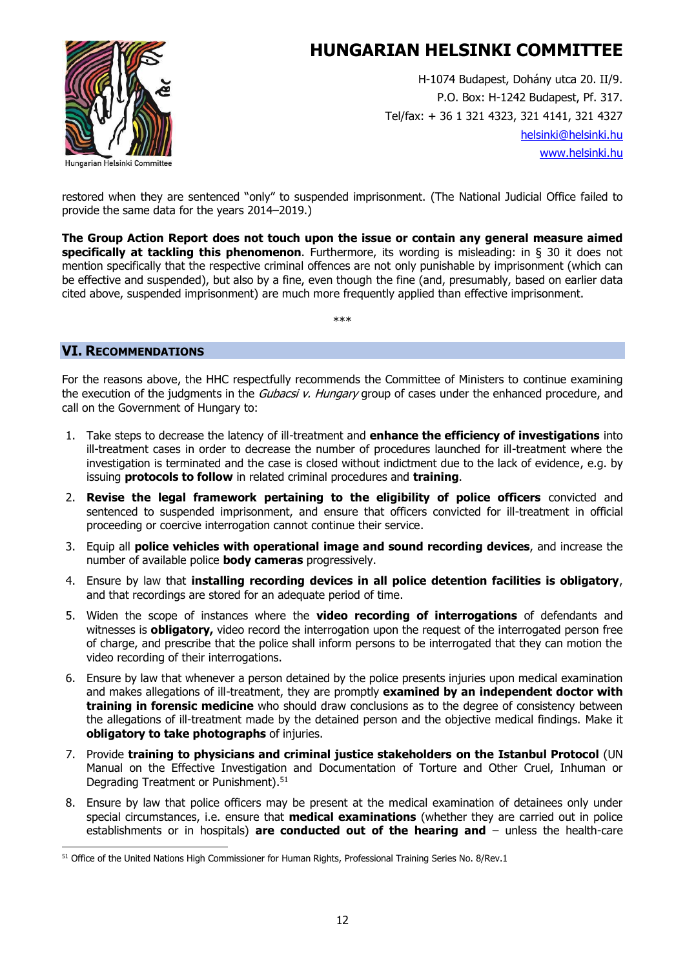

H-1074 Budapest, Dohány utca 20. II/9. P.O. Box: H-1242 Budapest, Pf. 317. Tel/fax: + 36 1 321 4323, 321 4141, 321 4327 [helsinki@helsinki.hu](mailto:helsinki@helsinki.hu) [www.helsinki.hu](http://www.helsinki.hu/)

restored when they are sentenced "only" to suspended imprisonment. (The National Judicial Office failed to provide the same data for the years 2014–2019.)

**The Group Action Report does not touch upon the issue or contain any general measure aimed specifically at tackling this phenomenon**. Furthermore, its wording is misleading: in § 30 it does not mention specifically that the respective criminal offences are not only punishable by imprisonment (which can be effective and suspended), but also by a fine, even though the fine (and, presumably, based on earlier data cited above, suspended imprisonment) are much more frequently applied than effective imprisonment.

\*\*\*

### **VI. RECOMMENDATIONS**

For the reasons above, the HHC respectfully recommends the Committee of Ministers to continue examining the execution of the judgments in the *Gubacsi v. Hungary* group of cases under the enhanced procedure, and call on the Government of Hungary to:

- 1. Take steps to decrease the latency of ill-treatment and **enhance the efficiency of investigations** into ill-treatment cases in order to decrease the number of procedures launched for ill-treatment where the investigation is terminated and the case is closed without indictment due to the lack of evidence, e.g. by issuing **protocols to follow** in related criminal procedures and **training**.
- 2. **Revise the legal framework pertaining to the eligibility of police officers** convicted and sentenced to suspended imprisonment, and ensure that officers convicted for ill-treatment in official proceeding or coercive interrogation cannot continue their service.
- 3. Equip all **police vehicles with operational image and sound recording devices**, and increase the number of available police **body cameras** progressively.
- 4. Ensure by law that **installing recording devices in all police detention facilities is obligatory**, and that recordings are stored for an adequate period of time.
- 5. Widen the scope of instances where the **video recording of interrogations** of defendants and witnesses is **obligatory,** video record the interrogation upon the request of the interrogated person free of charge, and prescribe that the police shall inform persons to be interrogated that they can motion the video recording of their interrogations.
- 6. Ensure by law that whenever a person detained by the police presents injuries upon medical examination and makes allegations of ill-treatment, they are promptly **examined by an independent doctor with training in forensic medicine** who should draw conclusions as to the degree of consistency between the allegations of ill-treatment made by the detained person and the objective medical findings. Make it **obligatory to take photographs** of injuries.
- 7. Provide **training to physicians and criminal justice stakeholders on the Istanbul Protocol** (UN Manual on the Effective Investigation and Documentation of Torture and Other Cruel, Inhuman or Degrading Treatment or Punishment). 51
- 8. Ensure by law that police officers may be present at the medical examination of detainees only under special circumstances, i.e. ensure that **medical examinations** (whether they are carried out in police establishments or in hospitals) **are conducted out of the hearing and** – unless the health-care

<sup>&</sup>lt;sup>51</sup> Office of the United Nations High Commissioner for Human Rights, Professional Training Series No. 8/Rev.1